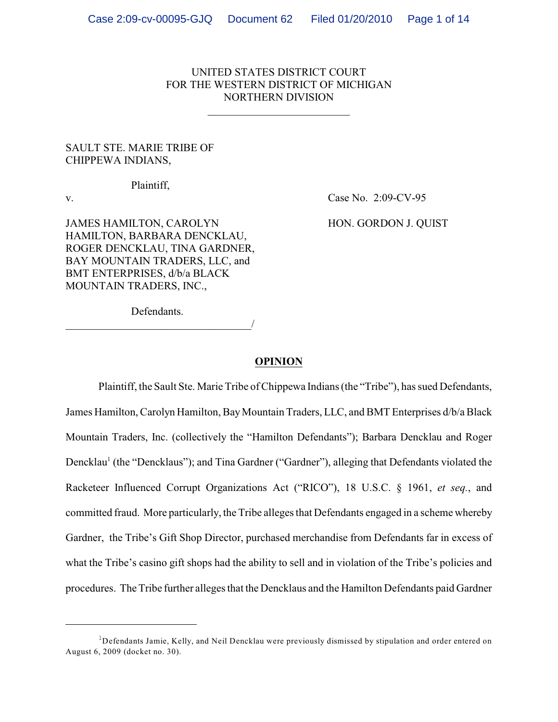# UNITED STATES DISTRICT COURT FOR THE WESTERN DISTRICT OF MICHIGAN NORTHERN DIVISION

\_\_\_\_\_\_\_\_\_\_\_\_\_\_\_\_\_\_\_\_\_\_\_\_\_\_

# SAULT STE. MARIE TRIBE OF CHIPPEWA INDIANS,

Plaintiff,

v. Case No. 2:09-CV-95

JAMES HAMILTON, CAROLYN HON. GORDON J. QUIST HAMILTON, BARBARA DENCKLAU, ROGER DENCKLAU, TINA GARDNER, BAY MOUNTAIN TRADERS, LLC, and BMT ENTERPRISES, d/b/a BLACK MOUNTAIN TRADERS, INC.,

Defendants.

\_\_\_\_\_\_\_\_\_\_\_\_\_\_\_\_\_\_\_\_\_\_\_\_\_\_\_\_\_\_\_\_\_\_/

### **OPINION**

Plaintiff, the Sault Ste. Marie Tribe of Chippewa Indians(the "Tribe"), has sued Defendants, James Hamilton, Carolyn Hamilton, Bay Mountain Traders, LLC, and BMT Enterprises d/b/a Black Mountain Traders, Inc. (collectively the "Hamilton Defendants"); Barbara Dencklau and Roger Dencklau<sup>1</sup> (the "Dencklaus"); and Tina Gardner ("Gardner"), alleging that Defendants violated the Racketeer Influenced Corrupt Organizations Act ("RICO"), 18 U.S.C. § 1961, *et seq.*, and committed fraud. More particularly, the Tribe alleges that Defendants engaged in a scheme whereby Gardner, the Tribe's Gift Shop Director, purchased merchandise from Defendants far in excess of what the Tribe's casino gift shops had the ability to sell and in violation of the Tribe's policies and procedures. TheTribe further alleges that the Dencklaus and the Hamilton Defendants paid Gardner

 $^{\rm 1}$ Defendants Jamie, Kelly, and Neil Dencklau were previously dismissed by stipulation and order entered on August 6, 2009 (docket no. 30).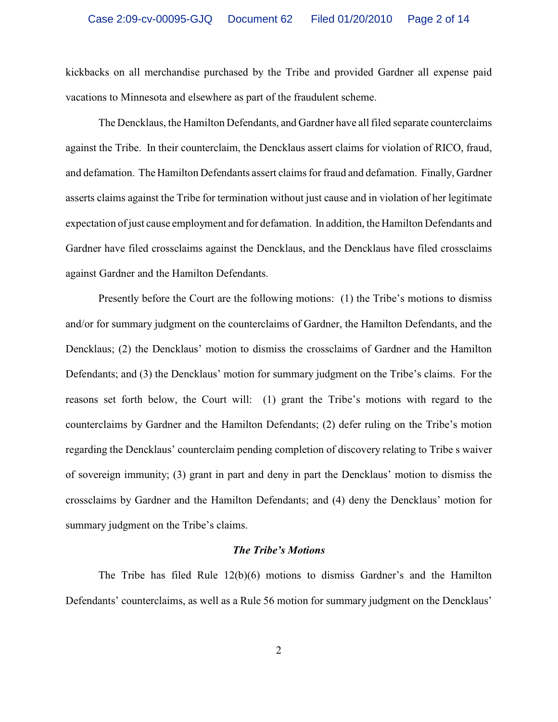kickbacks on all merchandise purchased by the Tribe and provided Gardner all expense paid vacations to Minnesota and elsewhere as part of the fraudulent scheme.

The Dencklaus, the Hamilton Defendants, and Gardner have all filed separate counterclaims against the Tribe. In their counterclaim, the Dencklaus assert claims for violation of RICO, fraud, and defamation. The Hamilton Defendants assert claims for fraud and defamation. Finally, Gardner asserts claims against the Tribe for termination without just cause and in violation of her legitimate expectation of just cause employment and for defamation. In addition, the Hamilton Defendants and Gardner have filed crossclaims against the Dencklaus, and the Dencklaus have filed crossclaims against Gardner and the Hamilton Defendants.

Presently before the Court are the following motions: (1) the Tribe's motions to dismiss and/or for summary judgment on the counterclaims of Gardner, the Hamilton Defendants, and the Dencklaus; (2) the Dencklaus' motion to dismiss the crossclaims of Gardner and the Hamilton Defendants; and (3) the Dencklaus' motion for summary judgment on the Tribe's claims. For the reasons set forth below, the Court will: (1) grant the Tribe's motions with regard to the counterclaims by Gardner and the Hamilton Defendants; (2) defer ruling on the Tribe's motion regarding the Dencklaus' counterclaim pending completion of discovery relating to Tribe s waiver of sovereign immunity; (3) grant in part and deny in part the Dencklaus' motion to dismiss the crossclaims by Gardner and the Hamilton Defendants; and (4) deny the Dencklaus' motion for summary judgment on the Tribe's claims.

## *The Tribe's Motions*

The Tribe has filed Rule 12(b)(6) motions to dismiss Gardner's and the Hamilton Defendants' counterclaims, as well as a Rule 56 motion for summary judgment on the Dencklaus'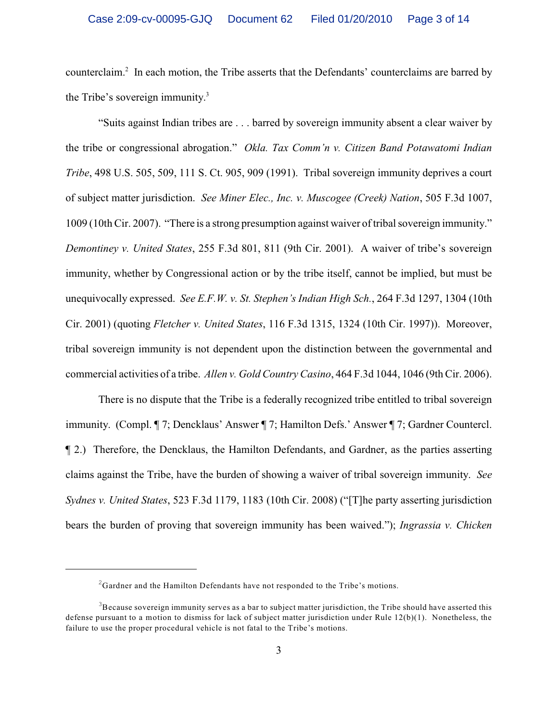counterclaim.<sup>2</sup> In each motion, the Tribe asserts that the Defendants' counterclaims are barred by the Tribe's sovereign immunity.<sup>3</sup>

"Suits against Indian tribes are . . . barred by sovereign immunity absent a clear waiver by the tribe or congressional abrogation." *Okla. Tax Comm'n v. Citizen Band Potawatomi Indian Tribe*, 498 U.S. 505, 509, 111 S. Ct. 905, 909 (1991). Tribal sovereign immunity deprives a court of subject matter jurisdiction. *See Miner Elec., Inc. v. Muscogee (Creek) Nation*, 505 F.3d 1007, 1009 (10th Cir. 2007). "There is a strong presumption against waiver of tribal sovereign immunity." *Demontiney v. United States*, 255 F.3d 801, 811 (9th Cir. 2001). A waiver of tribe's sovereign immunity, whether by Congressional action or by the tribe itself, cannot be implied, but must be unequivocally expressed. *See E.F.W. v. St. Stephen's Indian High Sch.*, 264 F.3d 1297, 1304 (10th Cir. 2001) (quoting *Fletcher v. United States*, 116 F.3d 1315, 1324 (10th Cir. 1997)). Moreover, tribal sovereign immunity is not dependent upon the distinction between the governmental and commercial activities of a tribe. *Allen v. Gold Country Casino*, 464 F.3d 1044, 1046 (9th Cir. 2006).

There is no dispute that the Tribe is a federally recognized tribe entitled to tribal sovereign immunity. (Compl. ¶ 7; Dencklaus' Answer ¶ 7; Hamilton Defs.' Answer ¶ 7; Gardner Countercl. ¶ 2.) Therefore, the Dencklaus, the Hamilton Defendants, and Gardner, as the parties asserting claims against the Tribe, have the burden of showing a waiver of tribal sovereign immunity. *See Sydnes v. United States*, 523 F.3d 1179, 1183 (10th Cir. 2008) ("[T]he party asserting jurisdiction bears the burden of proving that sovereign immunity has been waived."); *Ingrassia v. Chicken*

 ${}^{2}$ Gardner and the Hamilton Defendants have not responded to the Tribe's motions.

 ${}^{3}$ Because sovereign immunity serves as a bar to subject matter jurisdiction, the Tribe should have asserted this defense pursuant to a motion to dismiss for lack of subject matter jurisdiction under Rule 12(b)(1). Nonetheless, the failure to use the proper procedural vehicle is not fatal to the Tribe's motions.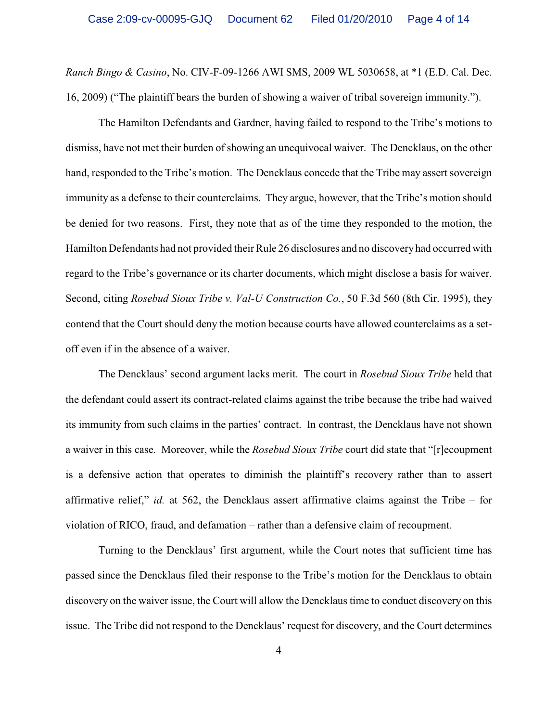*Ranch Bingo & Casino*, No. CIV-F-09-1266 AWI SMS, 2009 WL 5030658, at \*1 (E.D. Cal. Dec. 16, 2009) ("The plaintiff bears the burden of showing a waiver of tribal sovereign immunity.").

The Hamilton Defendants and Gardner, having failed to respond to the Tribe's motions to dismiss, have not met their burden of showing an unequivocal waiver. The Dencklaus, on the other hand, responded to the Tribe's motion. The Dencklaus concede that the Tribe may assert sovereign immunity as a defense to their counterclaims. They argue, however, that the Tribe's motion should be denied for two reasons. First, they note that as of the time they responded to the motion, the Hamilton Defendants had not provided their Rule 26 disclosures and no discovery had occurred with regard to the Tribe's governance or its charter documents, which might disclose a basis for waiver. Second, citing *Rosebud Sioux Tribe v. Val-U Construction Co.*, 50 F.3d 560 (8th Cir. 1995), they contend that the Court should deny the motion because courts have allowed counterclaims as a setoff even if in the absence of a waiver.

The Dencklaus' second argument lacks merit. The court in *Rosebud Sioux Tribe* held that the defendant could assert its contract-related claims against the tribe because the tribe had waived its immunity from such claims in the parties' contract. In contrast, the Dencklaus have not shown a waiver in this case. Moreover, while the *Rosebud Sioux Tribe* court did state that "[r]ecoupment is a defensive action that operates to diminish the plaintiff's recovery rather than to assert affirmative relief," *id.* at 562, the Dencklaus assert affirmative claims against the Tribe – for violation of RICO, fraud, and defamation – rather than a defensive claim of recoupment.

Turning to the Dencklaus' first argument, while the Court notes that sufficient time has passed since the Dencklaus filed their response to the Tribe's motion for the Dencklaus to obtain discovery on the waiver issue, the Court will allow the Dencklaus time to conduct discovery on this issue. The Tribe did not respond to the Dencklaus' request for discovery, and the Court determines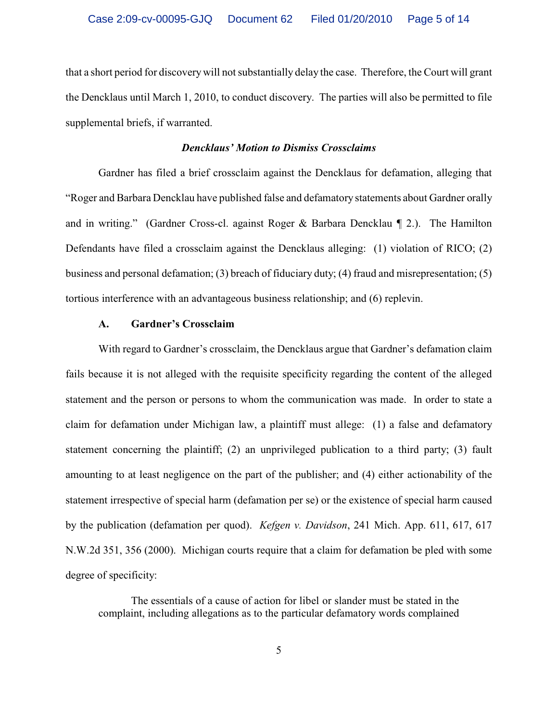that a short period for discovery will not substantially delay the case. Therefore, the Court will grant the Dencklaus until March 1, 2010, to conduct discovery. The parties will also be permitted to file supplemental briefs, if warranted.

# *Dencklaus' Motion to Dismiss Crossclaims*

Gardner has filed a brief crossclaim against the Dencklaus for defamation, alleging that "Roger and Barbara Dencklau have published false and defamatory statements about Gardner orally and in writing." (Gardner Cross-cl. against Roger & Barbara Dencklau ¶ 2.). The Hamilton Defendants have filed a crossclaim against the Dencklaus alleging: (1) violation of RICO; (2) business and personal defamation; (3) breach of fiduciary duty; (4) fraud and misrepresentation; (5) tortious interference with an advantageous business relationship; and (6) replevin.

### **A. Gardner's Crossclaim**

With regard to Gardner's crossclaim, the Dencklaus argue that Gardner's defamation claim fails because it is not alleged with the requisite specificity regarding the content of the alleged statement and the person or persons to whom the communication was made. In order to state a claim for defamation under Michigan law, a plaintiff must allege: (1) a false and defamatory statement concerning the plaintiff; (2) an unprivileged publication to a third party; (3) fault amounting to at least negligence on the part of the publisher; and (4) either actionability of the statement irrespective of special harm (defamation per se) or the existence of special harm caused by the publication (defamation per quod). *Kefgen v. Davidson*, 241 Mich. App. 611, 617, 617 N.W.2d 351, 356 (2000). Michigan courts require that a claim for defamation be pled with some degree of specificity:

The essentials of a cause of action for libel or slander must be stated in the complaint, including allegations as to the particular defamatory words complained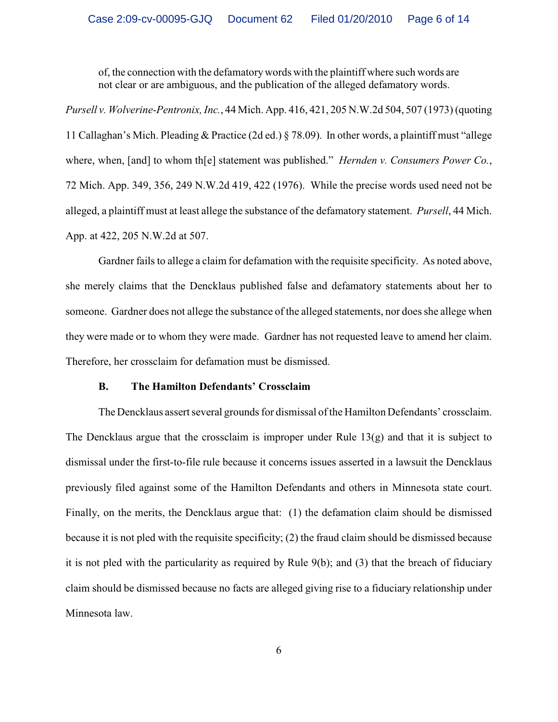of, the connection with the defamatorywords with the plaintiff where such words are not clear or are ambiguous, and the publication of the alleged defamatory words.

*Pursell v. Wolverine-Pentronix, Inc.*, 44 Mich. App. 416, 421, 205 N.W.2d 504, 507 (1973) (quoting 11 Callaghan's Mich. Pleading & Practice (2d ed.) § 78.09). In other words, a plaintiff must "allege where, when, [and] to whom th[e] statement was published." *Hernden v. Consumers Power Co.*, 72 Mich. App. 349, 356, 249 N.W.2d 419, 422 (1976). While the precise words used need not be alleged, a plaintiff must at least allege the substance of the defamatory statement. *Pursell*, 44 Mich. App. at 422, 205 N.W.2d at 507.

Gardner fails to allege a claim for defamation with the requisite specificity. As noted above, she merely claims that the Dencklaus published false and defamatory statements about her to someone. Gardner does not allege the substance of the alleged statements, nor does she allege when they were made or to whom they were made. Gardner has not requested leave to amend her claim. Therefore, her crossclaim for defamation must be dismissed.

# **B. The Hamilton Defendants' Crossclaim**

The Dencklaus assert several grounds for dismissal of the Hamilton Defendants' crossclaim. The Dencklaus argue that the crossclaim is improper under Rule 13(g) and that it is subject to dismissal under the first-to-file rule because it concerns issues asserted in a lawsuit the Dencklaus previously filed against some of the Hamilton Defendants and others in Minnesota state court. Finally, on the merits, the Dencklaus argue that: (1) the defamation claim should be dismissed because it is not pled with the requisite specificity; (2) the fraud claim should be dismissed because it is not pled with the particularity as required by Rule 9(b); and (3) that the breach of fiduciary claim should be dismissed because no facts are alleged giving rise to a fiduciary relationship under Minnesota law.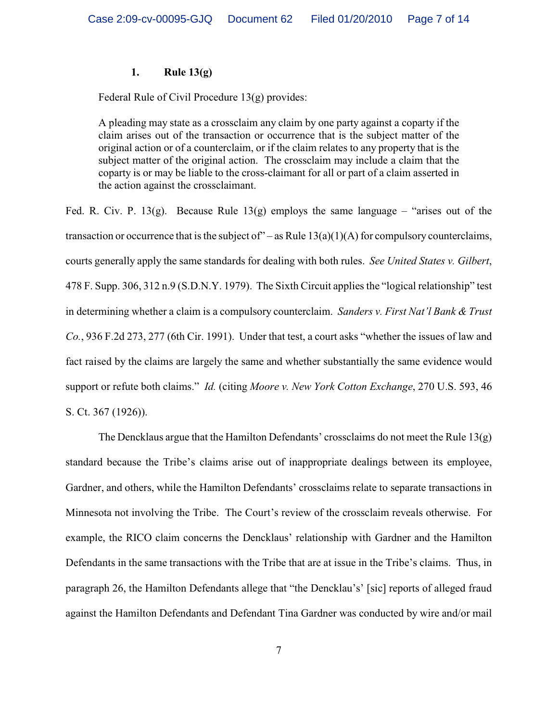# **1. Rule 13(g)**

Federal Rule of Civil Procedure 13(g) provides:

A pleading may state as a crossclaim any claim by one party against a coparty if the claim arises out of the transaction or occurrence that is the subject matter of the original action or of a counterclaim, or if the claim relates to any property that is the subject matter of the original action. The crossclaim may include a claim that the coparty is or may be liable to the cross-claimant for all or part of a claim asserted in the action against the crossclaimant.

Fed. R. Civ. P. 13(g). Because Rule 13(g) employs the same language – "arises out of the transaction or occurrence that is the subject of  $"$  – as Rule 13(a)(1)(A) for compulsory counterclaims, courts generally apply the same standards for dealing with both rules. *See United States v. Gilbert*, 478 F. Supp. 306, 312 n.9 (S.D.N.Y. 1979). The Sixth Circuit applies the "logical relationship" test in determining whether a claim is a compulsory counterclaim. *Sanders v. First Nat'l Bank & Trust Co.*, 936 F.2d 273, 277 (6th Cir. 1991). Under that test, a court asks "whether the issues of law and fact raised by the claims are largely the same and whether substantially the same evidence would support or refute both claims." *Id.* (citing *Moore v. New York Cotton Exchange*, 270 U.S. 593, 46 S. Ct. 367 (1926)).

The Dencklaus argue that the Hamilton Defendants' crossclaims do not meet the Rule 13(g) standard because the Tribe's claims arise out of inappropriate dealings between its employee, Gardner, and others, while the Hamilton Defendants' crossclaims relate to separate transactions in Minnesota not involving the Tribe. The Court's review of the crossclaim reveals otherwise. For example, the RICO claim concerns the Dencklaus' relationship with Gardner and the Hamilton Defendants in the same transactions with the Tribe that are at issue in the Tribe's claims. Thus, in paragraph 26, the Hamilton Defendants allege that "the Dencklau's' [sic] reports of alleged fraud against the Hamilton Defendants and Defendant Tina Gardner was conducted by wire and/or mail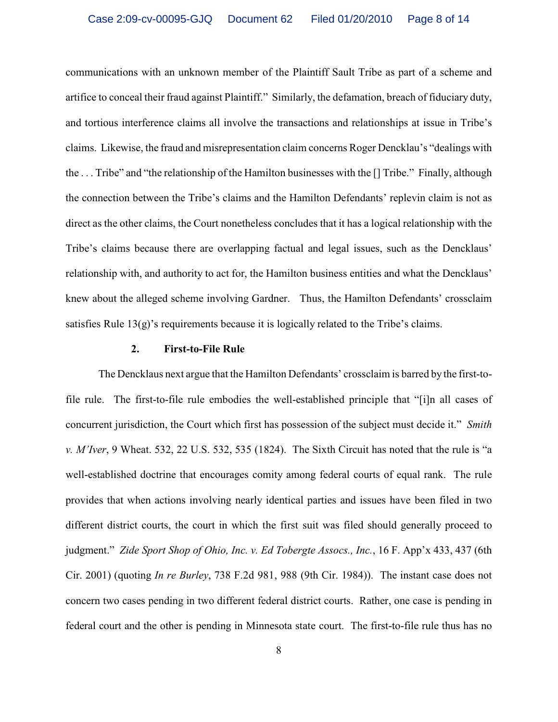communications with an unknown member of the Plaintiff Sault Tribe as part of a scheme and artifice to conceal their fraud against Plaintiff." Similarly, the defamation, breach of fiduciary duty, and tortious interference claims all involve the transactions and relationships at issue in Tribe's claims. Likewise, the fraud and misrepresentation claim concerns Roger Dencklau's "dealings with the . . . Tribe" and "the relationship of the Hamilton businesses with the [] Tribe." Finally, although the connection between the Tribe's claims and the Hamilton Defendants' replevin claim is not as direct as the other claims, the Court nonetheless concludes that it has a logical relationship with the Tribe's claims because there are overlapping factual and legal issues, such as the Dencklaus' relationship with, and authority to act for, the Hamilton business entities and what the Dencklaus' knew about the alleged scheme involving Gardner. Thus, the Hamilton Defendants' crossclaim satisfies Rule  $13(g)$ 's requirements because it is logically related to the Tribe's claims.

### **2. First-to-File Rule**

The Dencklaus next argue that the Hamilton Defendants' crossclaim is barred by the first-tofile rule. The first-to-file rule embodies the well-established principle that "[i]n all cases of concurrent jurisdiction, the Court which first has possession of the subject must decide it." *Smith v. M'Iver*, 9 Wheat. 532, 22 U.S. 532, 535 (1824). The Sixth Circuit has noted that the rule is "a well-established doctrine that encourages comity among federal courts of equal rank. The rule provides that when actions involving nearly identical parties and issues have been filed in two different district courts, the court in which the first suit was filed should generally proceed to judgment." *Zide Sport Shop of Ohio, Inc. v. Ed Tobergte Assocs., Inc.*, 16 F. App'x 433, 437 (6th Cir. 2001) (quoting *In re Burley*, 738 F.2d 981, 988 (9th Cir. 1984)). The instant case does not concern two cases pending in two different federal district courts. Rather, one case is pending in federal court and the other is pending in Minnesota state court. The first-to-file rule thus has no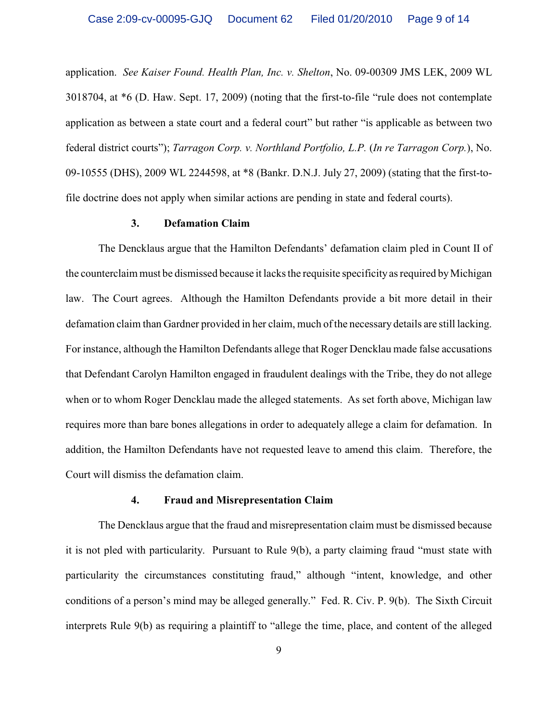application. *See Kaiser Found. Health Plan, Inc. v. Shelton*, No. 09-00309 JMS LEK, 2009 WL 3018704, at \*6 (D. Haw. Sept. 17, 2009) (noting that the first-to-file "rule does not contemplate application as between a state court and a federal court" but rather "is applicable as between two federal district courts"); *Tarragon Corp. v. Northland Portfolio, L.P.* (*In re Tarragon Corp.*), No. 09-10555 (DHS), 2009 WL 2244598, at \*8 (Bankr. D.N.J. July 27, 2009) (stating that the first-tofile doctrine does not apply when similar actions are pending in state and federal courts).

### **3. Defamation Claim**

The Dencklaus argue that the Hamilton Defendants' defamation claim pled in Count II of the counterclaim must be dismissed because it lacks the requisite specificity as required by Michigan law. The Court agrees. Although the Hamilton Defendants provide a bit more detail in their defamation claim than Gardner provided in her claim, much of the necessary details are still lacking. For instance, although the Hamilton Defendants allege that Roger Dencklau made false accusations that Defendant Carolyn Hamilton engaged in fraudulent dealings with the Tribe, they do not allege when or to whom Roger Dencklau made the alleged statements. As set forth above, Michigan law requires more than bare bones allegations in order to adequately allege a claim for defamation. In addition, the Hamilton Defendants have not requested leave to amend this claim. Therefore, the Court will dismiss the defamation claim.

### **4. Fraud and Misrepresentation Claim**

The Dencklaus argue that the fraud and misrepresentation claim must be dismissed because it is not pled with particularity. Pursuant to Rule 9(b), a party claiming fraud "must state with particularity the circumstances constituting fraud," although "intent, knowledge, and other conditions of a person's mind may be alleged generally." Fed. R. Civ. P. 9(b). The Sixth Circuit interprets Rule 9(b) as requiring a plaintiff to "allege the time, place, and content of the alleged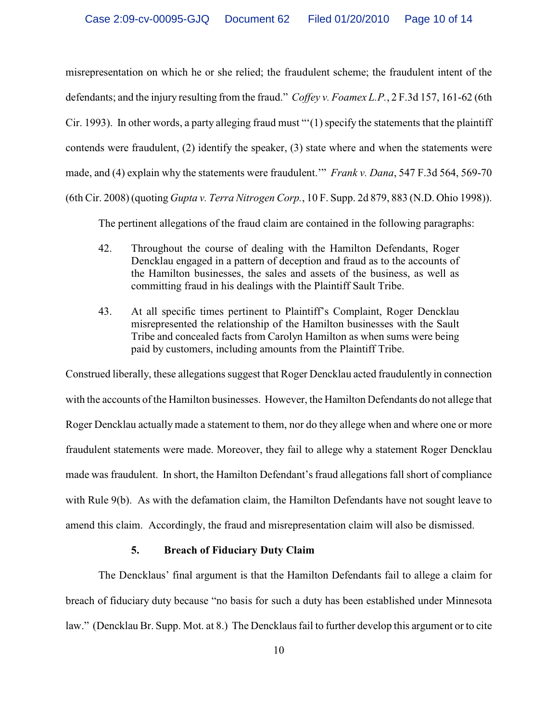misrepresentation on which he or she relied; the fraudulent scheme; the fraudulent intent of the defendants; and the injury resulting from the fraud." *Coffey v. Foamex L.P.*, 2 F.3d 157, 161-62 (6th Cir. 1993). In other words, a party alleging fraud must "'(1) specify the statements that the plaintiff contends were fraudulent, (2) identify the speaker, (3) state where and when the statements were made, and (4) explain why the statements were fraudulent.'" *Frank v. Dana*, 547 F.3d 564, 569-70 (6th Cir. 2008) (quoting *Gupta v. Terra Nitrogen Corp.*, 10 F. Supp. 2d 879, 883 (N.D. Ohio 1998)).

The pertinent allegations of the fraud claim are contained in the following paragraphs:

- 42. Throughout the course of dealing with the Hamilton Defendants, Roger Dencklau engaged in a pattern of deception and fraud as to the accounts of the Hamilton businesses, the sales and assets of the business, as well as committing fraud in his dealings with the Plaintiff Sault Tribe.
- 43. At all specific times pertinent to Plaintiff's Complaint, Roger Dencklau misrepresented the relationship of the Hamilton businesses with the Sault Tribe and concealed facts from Carolyn Hamilton as when sums were being paid by customers, including amounts from the Plaintiff Tribe.

Construed liberally, these allegations suggest that Roger Dencklau acted fraudulently in connection with the accounts of the Hamilton businesses. However, the Hamilton Defendants do not allege that Roger Dencklau actually made a statement to them, nor do they allege when and where one or more fraudulent statements were made. Moreover, they fail to allege why a statement Roger Dencklau made was fraudulent. In short, the Hamilton Defendant's fraud allegations fall short of compliance with Rule 9(b). As with the defamation claim, the Hamilton Defendants have not sought leave to amend this claim. Accordingly, the fraud and misrepresentation claim will also be dismissed.

# **5. Breach of Fiduciary Duty Claim**

The Dencklaus' final argument is that the Hamilton Defendants fail to allege a claim for breach of fiduciary duty because "no basis for such a duty has been established under Minnesota law." (Dencklau Br. Supp. Mot. at 8.) The Dencklaus fail to further develop this argument or to cite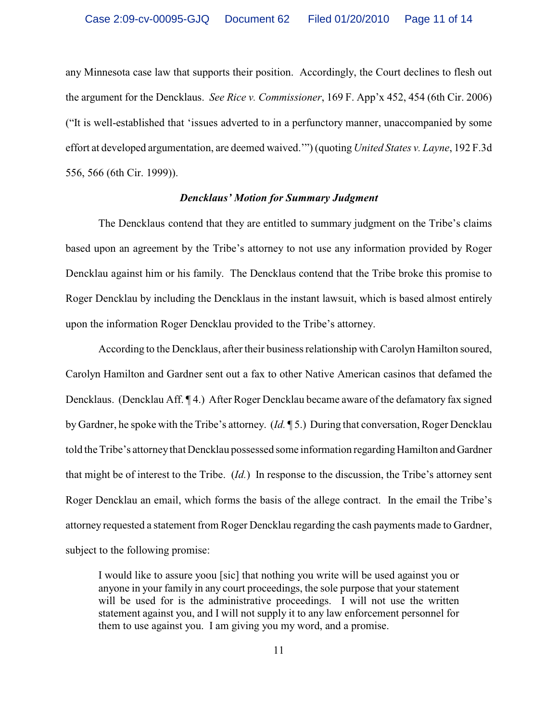any Minnesota case law that supports their position. Accordingly, the Court declines to flesh out the argument for the Dencklaus. *See Rice v. Commissioner*, 169 F. App'x 452, 454 (6th Cir. 2006) ("It is well-established that 'issues adverted to in a perfunctory manner, unaccompanied by some effort at developed argumentation, are deemed waived.'") (quoting *United States v. Layne*, 192 F.3d 556, 566 (6th Cir. 1999)).

# *Dencklaus' Motion for Summary Judgment*

The Dencklaus contend that they are entitled to summary judgment on the Tribe's claims based upon an agreement by the Tribe's attorney to not use any information provided by Roger Dencklau against him or his family. The Dencklaus contend that the Tribe broke this promise to Roger Dencklau by including the Dencklaus in the instant lawsuit, which is based almost entirely upon the information Roger Dencklau provided to the Tribe's attorney.

According to the Dencklaus, after their business relationship with Carolyn Hamilton soured, Carolyn Hamilton and Gardner sent out a fax to other Native American casinos that defamed the Dencklaus. (Dencklau Aff. ¶ 4.) After Roger Dencklau became aware of the defamatory fax signed by Gardner, he spoke with the Tribe's attorney. (*Id.* ¶ 5.) During that conversation, Roger Dencklau told the Tribe's attorney that Dencklau possessed some information regarding Hamilton and Gardner that might be of interest to the Tribe. (*Id.*) In response to the discussion, the Tribe's attorney sent Roger Dencklau an email, which forms the basis of the allege contract. In the email the Tribe's attorney requested a statement from Roger Dencklau regarding the cash payments made to Gardner, subject to the following promise:

I would like to assure yoou [sic] that nothing you write will be used against you or anyone in your family in any court proceedings, the sole purpose that your statement will be used for is the administrative proceedings. I will not use the written statement against you, and I will not supply it to any law enforcement personnel for them to use against you. I am giving you my word, and a promise.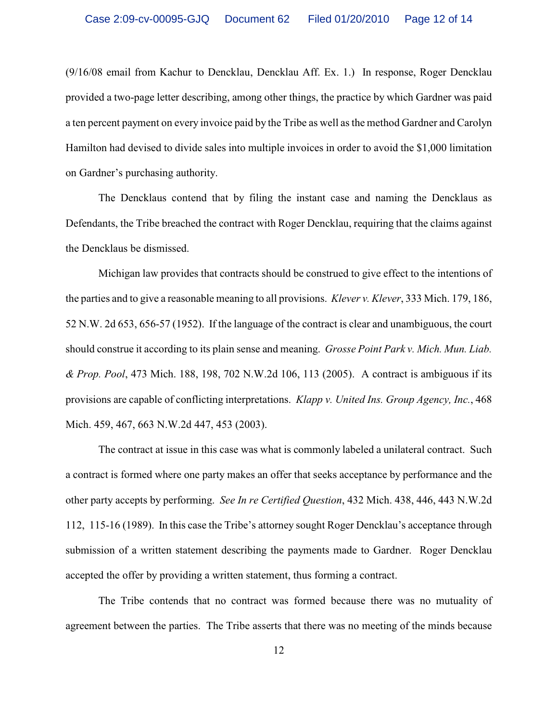(9/16/08 email from Kachur to Dencklau, Dencklau Aff. Ex. 1.) In response, Roger Dencklau provided a two-page letter describing, among other things, the practice by which Gardner was paid a ten percent payment on every invoice paid by the Tribe as well asthe method Gardner and Carolyn Hamilton had devised to divide sales into multiple invoices in order to avoid the \$1,000 limitation on Gardner's purchasing authority.

The Dencklaus contend that by filing the instant case and naming the Dencklaus as Defendants, the Tribe breached the contract with Roger Dencklau, requiring that the claims against the Dencklaus be dismissed.

Michigan law provides that contracts should be construed to give effect to the intentions of the parties and to give a reasonable meaning to all provisions. *Klever v. Klever*, 333 Mich. 179, 186, 52 N.W. 2d 653, 656-57 (1952). If the language of the contract is clear and unambiguous, the court should construe it according to its plain sense and meaning. *Grosse Point Park v. Mich. Mun. Liab. & Prop. Pool*, 473 Mich. 188, 198, 702 N.W.2d 106, 113 (2005). A contract is ambiguous if its provisions are capable of conflicting interpretations. *Klapp v. United Ins. Group Agency, Inc.*, 468 Mich. 459, 467, 663 N.W.2d 447, 453 (2003).

The contract at issue in this case was what is commonly labeled a unilateral contract. Such a contract is formed where one party makes an offer that seeks acceptance by performance and the other party accepts by performing. *See In re Certified Question*, 432 Mich. 438, 446, 443 N.W.2d 112, 115-16 (1989). In this case the Tribe's attorney sought Roger Dencklau's acceptance through submission of a written statement describing the payments made to Gardner. Roger Dencklau accepted the offer by providing a written statement, thus forming a contract.

The Tribe contends that no contract was formed because there was no mutuality of agreement between the parties. The Tribe asserts that there was no meeting of the minds because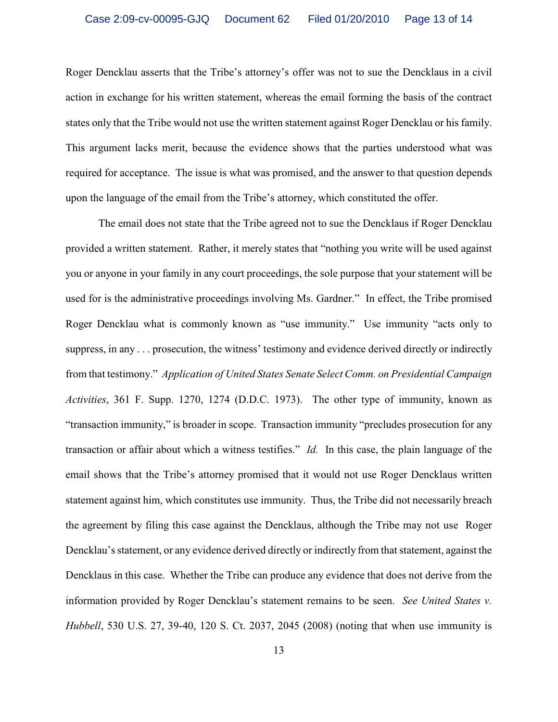Roger Dencklau asserts that the Tribe's attorney's offer was not to sue the Dencklaus in a civil action in exchange for his written statement, whereas the email forming the basis of the contract states only that the Tribe would not use the written statement against Roger Dencklau or his family. This argument lacks merit, because the evidence shows that the parties understood what was required for acceptance. The issue is what was promised, and the answer to that question depends upon the language of the email from the Tribe's attorney, which constituted the offer.

The email does not state that the Tribe agreed not to sue the Dencklaus if Roger Dencklau provided a written statement. Rather, it merely states that "nothing you write will be used against you or anyone in your family in any court proceedings, the sole purpose that your statement will be used for is the administrative proceedings involving Ms. Gardner." In effect, the Tribe promised Roger Dencklau what is commonly known as "use immunity." Use immunity "acts only to suppress, in any . . . prosecution, the witness' testimony and evidence derived directly or indirectly from that testimony." *Application of United States Senate Select Comm. on Presidential Campaign Activities*, 361 F. Supp. 1270, 1274 (D.D.C. 1973). The other type of immunity, known as "transaction immunity," is broader in scope. Transaction immunity "precludes prosecution for any transaction or affair about which a witness testifies." *Id.* In this case, the plain language of the email shows that the Tribe's attorney promised that it would not use Roger Dencklaus written statement against him, which constitutes use immunity. Thus, the Tribe did not necessarily breach the agreement by filing this case against the Dencklaus, although the Tribe may not use Roger Dencklau's statement, or any evidence derived directly or indirectly from that statement, against the Dencklaus in this case. Whether the Tribe can produce any evidence that does not derive from the information provided by Roger Dencklau's statement remains to be seen. *See United States v. Hubbell*, 530 U.S. 27, 39-40, 120 S. Ct. 2037, 2045 (2008) (noting that when use immunity is